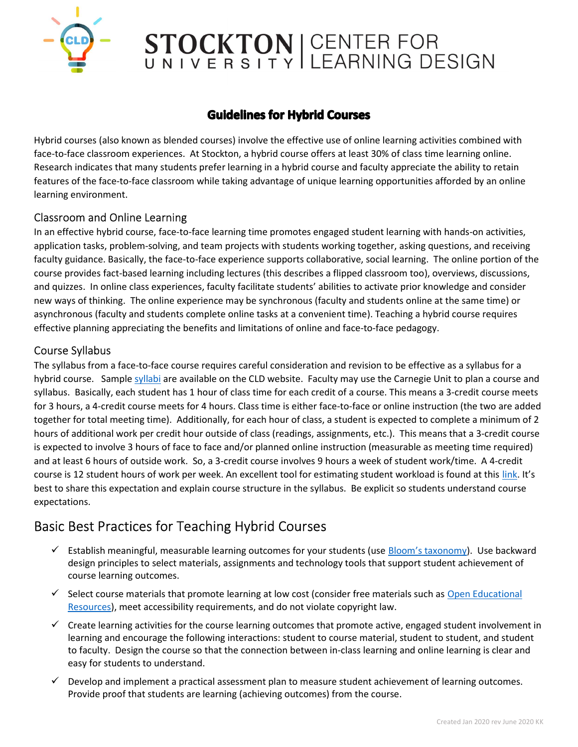

## STOCKTON | CENTER FOR

### **Guidelines for Hybrid Courses**

Hybrid courses (also known as blended courses) involve the effective use of online learning activities combined with face-to-face classroom experiences. At Stockton, a hybrid course offers at least 30% of class time learning online. Research indicates that many students prefer learning in a hybrid course and faculty appreciate the ability to retain features of the face-to-face classroom while taking advantage of unique learning opportunities afforded by an online learning environment.

#### Classroom and Online Learning

In an effective hybrid course, face-to-face learning time promotes engaged student learning with hands-on activities, application tasks, problem-solving, and team projects with students working together, asking questions, and receiving faculty guidance. Basically, the face-to-face experience supports collaborative, social learning. The online portion of the course provides fact-based learning including lectures (this describes a flipped classroom too), overviews, discussions, and quizzes. In online class experiences, faculty facilitate students' abilities to activate prior knowledge and consider new ways of thinking. The online experience may be synchronous (faculty and students online at the same time) or asynchronous (faculty and students complete online tasks at a convenient time). Teaching a hybrid course requires effective planning appreciating the benefits and limitations of online and face-to-face pedagogy.

#### Course Syllabus

The syllabus from a face-to-face course requires careful consideration and revision to be effective as a syllabus for a hybrid course. Sample syllabi are available on the CLD website. Faculty may use the Carnegie Unit to plan a course and syllabus. Basically, each student has 1 hour of class time for each credit of a course. This means a 3-credit course meets for 3 hours, a 4-credit course meets for 4 hours. Class time is either face-to-face or online instruction (the two are added together for total meeting time). Additionally, for each hour of class, a student is expected to complete a minimum of 2 hours of additional work per credit hour outside of class (readings, assignments, etc.). This means that a 3-credit course is expected to involve 3 hours of face to face and/or planned online instruction (measurable as meeting time required) and at least 6 hours of outside work. So, a 3-credit course involves 9 hours a week of student work/time. A 4-credit course is 12 student hours of work per week. An excellent tool for estimating student workload is found at this link. It's best to share this expectation and explain course structure in the syllabus. Be explicit so students understand course expectations.

### Basic Best Practices for Teaching Hybrid Courses

- $\checkmark$  Establish meaningful, measurable learning outcomes for your students (use Bloom's taxonomy). Use backward design principles to select materials, assignments and technology tools that support student achievement of course learning outcomes.
- $\checkmark$  Select course materials that promote learning at low cost (consider free materials such as Open Educational Resources), meet accessibility requirements, and do not violate copyright law.
- $\checkmark$  Create learning activities for the course learning outcomes that promote active, engaged student involvement in learning and encourage the following interactions: student to course material, student to student, and student to faculty. Design the course so that the connection between in-class learning and online learning is clear and easy for students to understand.
- $\checkmark$  Develop and implement a practical assessment plan to measure student achievement of learning outcomes. Provide proof that students are learning (achieving outcomes) from the course.